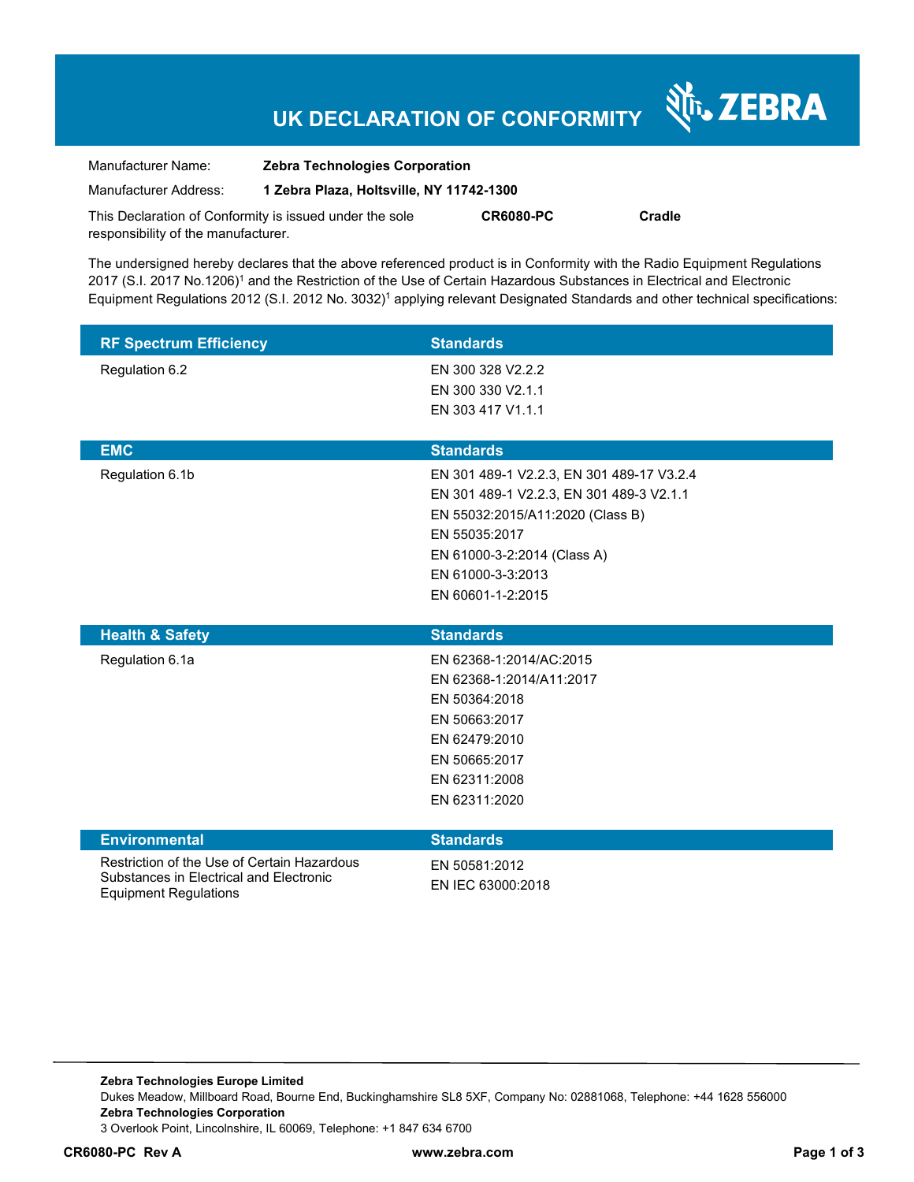# **UK DECLARATION OF CONFORMITY**

Nr. ZEBRA

| Manufacturer Name:                                      | <b>Zebra Technologies Corporation</b>    |                  |        |
|---------------------------------------------------------|------------------------------------------|------------------|--------|
| Manufacturer Address:                                   | 1 Zebra Plaza, Holtsville, NY 11742-1300 |                  |        |
| This Declaration of Conformity is issued under the sole |                                          | <b>CR6080-PC</b> | Cradle |
| responsibility of the manufacturer.                     |                                          |                  |        |

The undersigned hereby declares that the above referenced product is in Conformity with the Radio Equipment Regulations 2017 (S.I. 2017 No.1206)<sup>1</sup> and the Restriction of the Use of Certain Hazardous Substances in Electrical and Electronic Equipment Regulations 2012 (S.I. 2012 No. 3032)<sup>1</sup> applying relevant Designated Standards and other technical specifications:

| <b>RF Spectrum Efficiency</b>                                                          | <b>Standards</b>                          |
|----------------------------------------------------------------------------------------|-------------------------------------------|
| Regulation 6.2                                                                         | EN 300 328 V2.2.2                         |
|                                                                                        | EN 300 330 V2.1.1                         |
|                                                                                        | EN 303 417 V1.1.1                         |
|                                                                                        |                                           |
| <b>EMC</b>                                                                             | <b>Standards</b>                          |
| Regulation 6.1b                                                                        | EN 301 489-1 V2.2.3, EN 301 489-17 V3.2.4 |
|                                                                                        | EN 301 489-1 V2.2.3, EN 301 489-3 V2.1.1  |
|                                                                                        | EN 55032:2015/A11:2020 (Class B)          |
|                                                                                        | EN 55035:2017                             |
|                                                                                        | EN 61000-3-2:2014 (Class A)               |
|                                                                                        | EN 61000-3-3:2013                         |
|                                                                                        | EN 60601-1-2:2015                         |
|                                                                                        |                                           |
| <b>Health &amp; Safety</b>                                                             | <b>Standards</b>                          |
| Regulation 6.1a                                                                        | EN 62368-1:2014/AC:2015                   |
|                                                                                        | EN 62368-1:2014/A11:2017                  |
|                                                                                        | EN 50364:2018                             |
|                                                                                        | EN 50663:2017                             |
|                                                                                        | EN 62479:2010                             |
|                                                                                        | EN 50665:2017                             |
|                                                                                        | EN 62311:2008                             |
|                                                                                        | EN 62311:2020                             |
|                                                                                        |                                           |
| <b>Environmental</b>                                                                   | <b>Standards</b>                          |
| Restriction of the Use of Certain Hazardous<br>Substances in Electrical and Electronic | EN 50581:2012                             |
| <b>Equipment Regulations</b>                                                           | EN IEC 63000:2018                         |

**Zebra Technologies Europe Limited**  Dukes Meadow, Millboard Road, Bourne End, Buckinghamshire SL8 5XF, Company No: 02881068, Telephone: +44 1628 556000 **Zebra Technologies Corporation**  3 Overlook Point, Lincolnshire, IL 60069, Telephone: +1 847 634 6700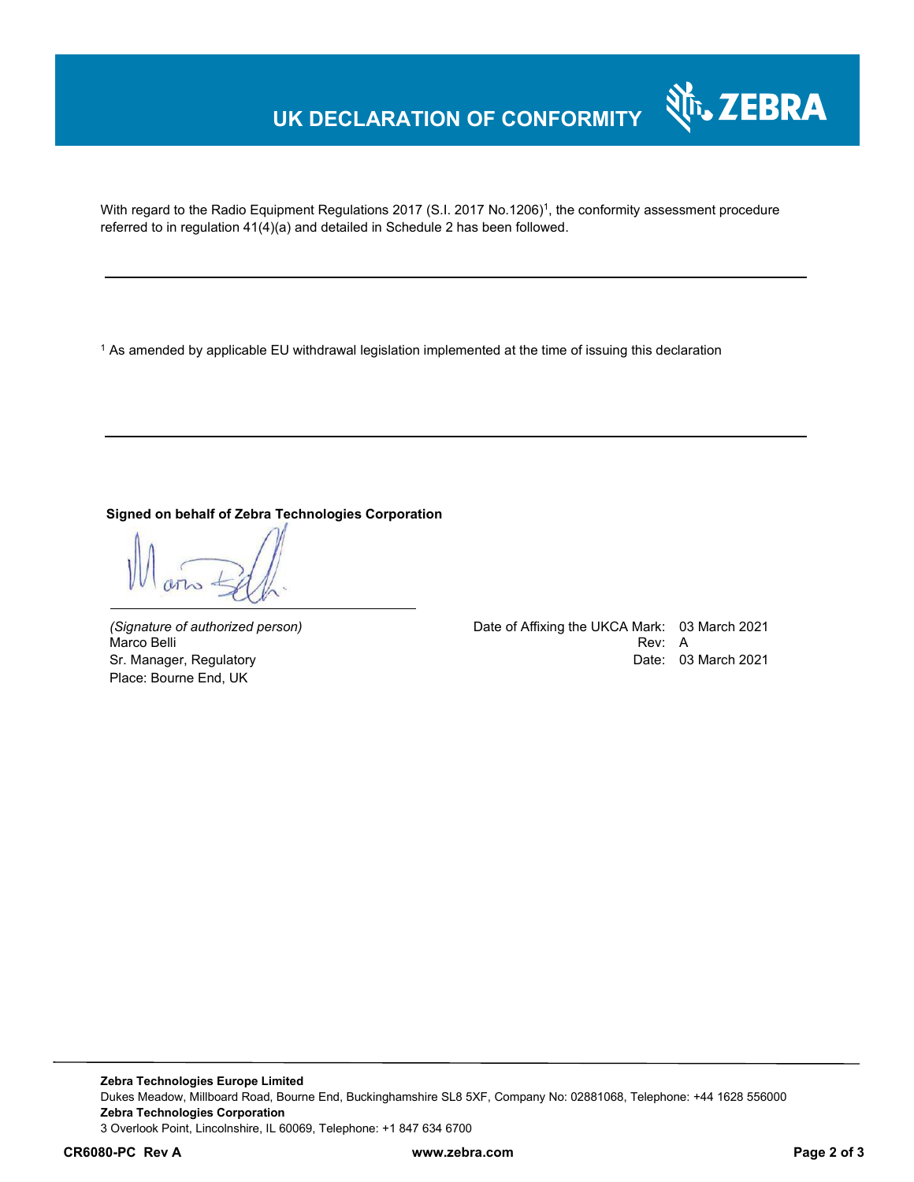### **UK DECLARATION OF CONFORMITY**

With regard to the Radio Equipment Regulations 2017 (S.I. 2017 No.1206)<sup>1</sup>, the conformity assessment procedure referred to in regulation 41(4)(a) and detailed in Schedule 2 has been followed.

1 As amended by applicable EU withdrawal legislation implemented at the time of issuing this declaration

**Signed on behalf of Zebra Technologies Corporation** 

Place: Bourne End, UK

*(Signature of authorized person)* Date of Affixing the UKCA Mark: 03 March 2021 Marco Belli Rev: A Alexander Company of the Company of the Company of the Company of the Company of the Company of the Company of the Company of the Company of the Company of the Company of the Company of the Company of th Sr. Manager, Regulatory **Date: 03 March 2021** Control of the US Analysis of the US Analysis of the Date: 03 March 2021

र्शे<sub>ि</sub> ZEBRA

**Zebra Technologies Europe Limited**  Dukes Meadow, Millboard Road, Bourne End, Buckinghamshire SL8 5XF, Company No: 02881068, Telephone: +44 1628 556000 **Zebra Technologies Corporation**  3 Overlook Point, Lincolnshire, IL 60069, Telephone: +1 847 634 6700